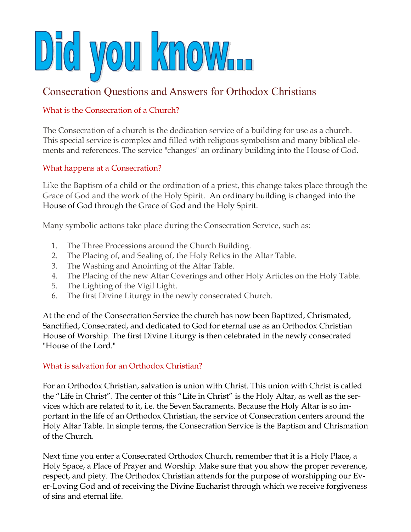

# Consecration Questions and Answers for Orthodox Christians

### What is the Consecration of a Church?

The Consecration of a church is the dedication service of a building for use as a church. This special service is complex and filled with religious symbolism and many biblical elements and references. The service "changes" an ordinary building into the House of God.

### What happens at a Consecration?

Like the Baptism of a child or the ordination of a priest, this change takes place through the Grace of God and the work of the Holy Spirit. An ordinary building is changed into the House of God through the Grace of God and the Holy Spirit.

Many symbolic actions take place during the Consecration Service, such as:

- 1. The Three Processions around the Church Building.
- 2. The Placing of, and Sealing of, the Holy Relics in the Altar Table.
- 3. The Washing and Anointing of the Altar Table.
- 4. The Placing of the new Altar Coverings and other Holy Articles on the Holy Table.
- 5. The Lighting of the Vigil Light.
- 6. The first Divine Liturgy in the newly consecrated Church.

At the end of the Consecration Service the church has now been Baptized, Chrismated, Sanctified, Consecrated, and dedicated to God for eternal use as an Orthodox Christian House of Worship. The first Divine Liturgy is then celebrated in the newly consecrated "House of the Lord."

### What is salvation for an Orthodox Christian?

For an Orthodox Christian, salvation is union with Christ. This union with Christ is called the "Life in Christ". The center of this "Life in Christ" is the Holy Altar, as well as the services which are related to it, i.e. the Seven Sacraments. Because the Holy Altar is so important in the life of an Orthodox Christian, the service of Consecration centers around the Holy Altar Table. In simple terms, the Consecration Service is the Baptism and Chrismation of the Church.

Next time you enter a Consecrated Orthodox Church, remember that it is a Holy Place, a Holy Space, a Place of Prayer and Worship. Make sure that you show the proper reverence, respect, and piety. The Orthodox Christian attends for the purpose of worshipping our Ever-Loving God and of receiving the Divine Eucharist through which we receive forgiveness of sins and eternal life.